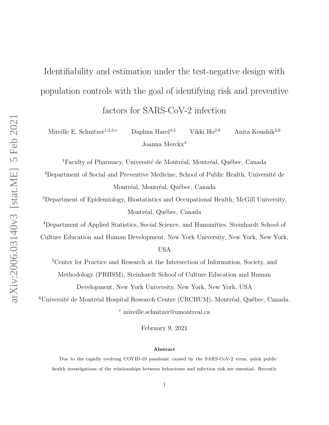# Identifiability and estimation under the test-negative design with population controls with the goal of identifying risk and preventive factors for SARS-CoV-2 infection

Mireille E. Schnitzer<sup>1,2,3,</sup>\* Daphna Harel<sup>4,5</sup> Vikki Ho<sup>2,6</sup> Anita Koushik<sup>2,6</sup> Joanna Merckx<sup>3</sup>

 $1$ Faculty of Pharmacy, Université de Montréal, Montréal, Québec, Canada

<sup>2</sup>Department of Social and Preventive Medicine, School of Public Health, Université de Montréal, Montréal, Québec, Canada

<sup>3</sup>Department of Epidemiology, Biostatistics and Occupational Health, McGill University, Montréal, Québec, Canada

<sup>4</sup>Department of Applied Statistics, Social Science, and Humanities, Steinhardt School of

Culture Education and Human Development, New York University, New York, New York,

USA

<sup>5</sup>Center for Practice and Research at the Intersection of Information, Society, and

Methodology (PRIISM), Steinhardt School of Culture Education and Human

Development, New York University, New York, New York, USA

<sup>6</sup>Université de Montréal Hospital Research Centre (CRCHUM), Montréal, Québec, Canada. <sup>∗</sup> mireille.schnitzer@umontreal.ca

February 9, 2021

#### Abstract

Due to the rapidly evolving COVID-19 pandemic caused by the SARS-CoV-2 virus, quick public health investigations of the relationships between behaviours and infection risk are essential. Recently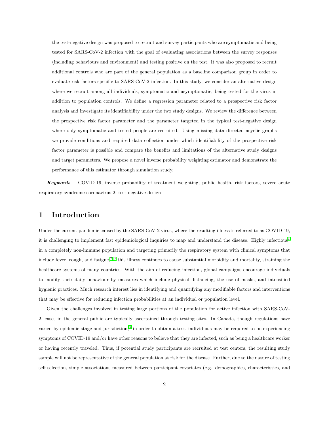the test-negative design was proposed to recruit and survey participants who are symptomatic and being tested for SARS-CoV-2 infection with the goal of evaluating associations between the survey responses (including behaviours and environment) and testing positive on the test. It was also proposed to recruit additional controls who are part of the general population as a baseline comparison group in order to evaluate risk factors specific to SARS-CoV-2 infection. In this study, we consider an alternative design where we recruit among all individuals, symptomatic and asymptomatic, being tested for the virus in addition to population controls. We define a regression parameter related to a prospective risk factor analysis and investigate its identifiability under the two study designs. We review the difference between the prospective risk factor parameter and the parameter targeted in the typical test-negative design where only symptomatic and tested people are recruited. Using missing data directed acyclic graphs we provide conditions and required data collection under which identifiability of the prospective risk factor parameter is possible and compare the benefits and limitations of the alternative study designs and target parameters. We propose a novel inverse probability weighting estimator and demonstrate the performance of this estimator through simulation study.

Keywords— COVID-19, inverse probability of treatment weighting, public health, risk factors, severe acute respiratory syndrome coronavirus 2, test-negative design

### 1 Introduction

Under the current pandemic caused by the SARS-CoV-2 virus, where the resulting illness is referred to as COVID-19, it is challenging to implement fast epidemiological inquiries to map and understand the disease. Highly infectious<sup>[1](#page-11-0)</sup> in a completely non-immune population and targeting primarily the respiratory system with clinical symptoms that include fever, cough, and fatigue,<sup>[2,](#page-12-0)3</sup> this illness continues to cause substantial morbidity and mortality, straining the healthcare systems of many countries. With the aim of reducing infection, global campaigns encourage individuals to modify their daily behaviour by measures which include physical distancing, the use of masks, and intensified hygienic practices. Much research interest lies in identifying and quantifying any modifiable factors and interventions that may be effective for reducing infection probabilities at an individual or population level.

Given the challenges involved in testing large portions of the population for active infection with SARS-CoV-2, cases in the general public are typically ascertained through testing sites. In Canada, though regulations have varied by epidemic stage and jurisdiction,<sup>[4](#page-12-2)</sup> in order to obtain a test, individuals may be required to be experiencing symptoms of COVID-19 and/or have other reasons to believe that they are infected, such as being a healthcare worker or having recently traveled. Thus, if potential study participants are recruited at test centers, the resulting study sample will not be representative of the general population at risk for the disease. Further, due to the nature of testing self-selection, simple associations measured between participant covariates (e.g. demographics, characteristics, and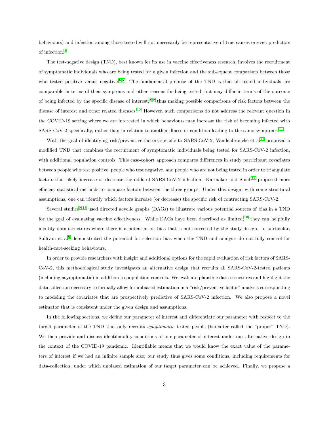behaviours) and infection among those tested will not necessarily be representative of true causes or even predictors of infection.<sup>[5](#page-12-3)</sup>

The test-negative design (TND), best known for its use in vaccine effectiveness research, involves the recruitment of symptomatic individuals who are being tested for a given infection and the subsequent comparison between those who tested positive versus negative.<sup>[6,](#page-12-4)7</sup> The fundamental premise of the TND is that all tested individuals are comparable in terms of their symptoms and other reasons for being tested, but may differ in terms of the outcome of being infected by the specific disease of interest,<sup>[8,](#page-12-6)9</sup> thus making possible comparisons of risk factors between the disease of interest and other related diseases.<sup>[10](#page-12-8)</sup> However, such comparisons do not address the relevant question in the COVID-19 setting where we are interested in which behaviours may increase the risk of becoming infected with SARS-CoV-2 specifically, rather than in relation to another illness or condition leading to the same symptoms.<sup>[11](#page-12-9)</sup>

With the goal of identifying risk/preventive factors specific to SARS-CoV-2, Vandenbroucke et  $al<sup>11</sup>$  $al<sup>11</sup>$  $al<sup>11</sup>$  proposed a modified TND that combines the recruitment of symptomatic individuals being tested for SARS-CoV-2 infection, with additional population controls. This case-cohort approach compares differences in study participant covariates between people who test positive, people who test negative, and people who are not being tested in order to triangulate factors that likely increase or decrease the odds of SARS-CoV-2 infection. Karmakar and Small<sup>[12](#page-12-10)</sup> proposed more efficient statistical methods to compare factors between the three groups. Under this design, with some structural assumptions, one can identify which factors increase (or decrease) the specific risk of contracting SARS-CoV-2.

Several studies<sup>[9,](#page-12-7) [13](#page-12-11)</sup> used directed acyclic graphs (DAGs) to illustrate various potential sources of bias in a TND for the goal of evaluating vaccine effectiveness. While DAGs have been described as limited,<sup>[10](#page-12-8)</sup> they can helpfully identify data structures where there is a potential for bias that is not corrected by the study design. In particular, Sullivan et al<sup>[9](#page-12-7)</sup> demonstrated the potential for selection bias when the TND and analysis do not fully control for health-care-seeking behaviours.

In order to provide researchers with insight and additional options for the rapid evaluation of risk factors of SARS-CoV-2, this methodological study investigates an alternative design that recruits all SARS-CoV-2-tested patients (including asymptomatic) in addition to population controls. We evaluate plausible data structures and highlight the data collection necessary to formally allow for unbiased estimation in a "risk/preventive factor" analysis corresponding to modeling the covariates that are prospectively predictive of SARS-CoV-2 infection. We also propose a novel estimator that is consistent under the given design and assumptions.

In the following sections, we define our parameter of interest and differentiate our parameter with respect to the target parameter of the TND that only recruits symptomatic tested people (hereafter called the "proper" TND). We then provide and discuss identifiability conditions of our parameter of interest under our alternative design in the context of the COVID-19 pandemic. Identifiable means that we would know the exact value of the parameters of interest if we had an infinite sample size; our study thus gives some conditions, including requirements for data-collection, under which unbiased estimation of our target parameter can be achieved. Finally, we propose a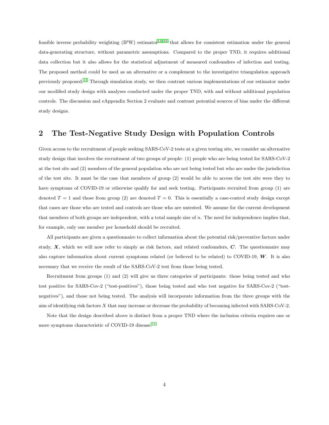feasible inverse probability weighting (IPW) estimator<sup>[14–](#page-12-12)[16](#page-12-13)</sup> that allows for consistent estimation under the general data-generating structure, without parametric assumptions. Compared to the proper TND, it requires additional data collection but it also allows for the statistical adjustment of measured confounders of infection and testing. The proposed method could be used as an alternative or a complement to the investigative triangulation approach previously proposed.[11](#page-12-9) Through simulation study, we then contrast various implementations of our estimator under our modified study design with analyses conducted under the proper TND, with and without additional population controls. The discussion and eAppendix Section 2 evaluate and contrast potential sources of bias under the different study designs.

# 2 The Test-Negative Study Design with Population Controls

Given access to the recruitment of people seeking SARS-CoV-2 tests at a given testing site, we consider an alternative study design that involves the recruitment of two groups of people: (1) people who are being tested for SARS-CoV-2 at the test site and (2) members of the general population who are not being tested but who are under the jurisdiction of the test site. It must be the case that members of group (2) would be able to access the test site were they to have symptoms of COVID-19 or otherwise qualify for and seek testing. Participants recruited from group (1) are denoted  $T = 1$  and those from group (2) are denoted  $T = 0$ . This is essentially a case-control study design except that cases are those who are tested and controls are those who are untested. We assume for the current development that members of both groups are independent, with a total sample size of n. The need for independence implies that, for example, only one member per household should be recruited.

All participants are given a questionnaire to collect information about the potential risk/preventive factors under study,  $X$ , which we will now refer to simply as risk factors, and related confounders,  $C$ . The questionnaire may also capture information about current symptoms related (or believed to be related) to COVID-19,  $W$ . It is also necessary that we receive the result of the SARS-CoV-2 test from those being tested.

Recruitment from groups (1) and (2) will give us three categories of participants: those being tested and who test positive for SARS-Cov-2 ("test-positives"), those being tested and who test negative for SARS-Cov-2 ("testnegatives"), and those not being tested. The analysis will incorporate information from the three groups with the aim of identifying risk factors X that may increase or decrease the probability of becoming infected with SARS-CoV-2.

Note that the design described above is distinct from a proper TND where the inclusion criteria requires one or more symptoms characteristic of COVID-19 disease.<sup>[11](#page-12-9)</sup>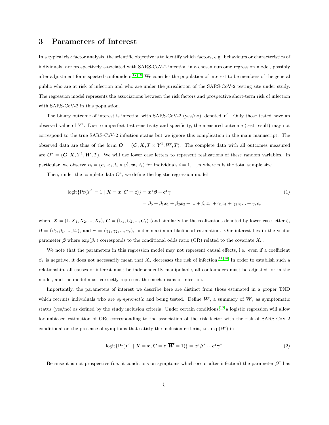#### <span id="page-4-0"></span>3 Parameters of Interest

In a typical risk factor analysis, the scientific objective is to identify which factors, e.g. behaviours or characteristics of individuals, are prospectively associated with SARS-CoV-2 infection in a chosen outcome regression model, possibly after adjustment for suspected confounders.<sup>[17,](#page-13-0) [18](#page-13-1)</sup> We consider the population of interest to be members of the general public who are at risk of infection and who are under the jurisdiction of the SARS-CoV-2 testing site under study. The regression model represents the associations between the risk factors and prospective short-term risk of infection with SARS-CoV-2 in this population.

The binary outcome of interest is infection with SARS-CoV-2 (yes/no), denoted  $Y<sup>1</sup>$ . Only those tested have an observed value of  $Y^1$ . Due to imperfect test sensitivity and specificity, the measured outcome (test result) may not correspond to the true SARS-CoV-2 infection status but we ignore this complication in the main manuscript. The observed data are thus of the form  $O = (C, X, T \times Y^1, W, T)$ . The complete data with all outcomes measured are  $O^* = (C, X, Y^1, W, T)$ . We will use lower case letters to represent realizations of these random variables. In particular, we observe  $o_i = (c_i, x_i, t_i \times y_i^1, w_i, t_i)$  for individuals  $i = 1, ..., n$  where n is the total sample size.

Then, under the complete data  $O^*$ , we define the logistic regression model

<span id="page-4-1"></span>
$$
logit\{Pr(Y^1 = 1 \mid \boldsymbol{X} = \boldsymbol{x}, \boldsymbol{C} = \boldsymbol{c})\} = \boldsymbol{x}^{\mathsf{T}}\boldsymbol{\beta} + \boldsymbol{c}^{\mathsf{T}}\boldsymbol{\gamma}
$$
\n
$$
= \beta_0 + \beta_1 x_1 + \beta_2 x_2 + \dots + \beta_r x_r + \gamma_1 c_1 + \gamma_2 c_2 \dots + \gamma_s c_s
$$
\n(1)

where  $\mathbf{X} = (1, X_1, X_2, ..., X_r)$ ,  $\mathbf{C} = (C_1, C_2, ..., C_s)$  (and similarly for the realizations denoted by lower case letters),  $\beta = (\beta_0, \beta_1, ..., \beta_r)$ , and  $\gamma = (\gamma_1, \gamma_2, ..., \gamma_s)$ , under maximum likelihood estimation. Our interest lies in the vector parameter  $\beta$  where  $\exp(\beta_k)$  corresponds to the conditional odds ratio (OR) related to the covariate  $X_k$ .

We note that the parameters in this regression model may not represent causal effects, i.e. even if a coefficient  $\beta_k$  is negative, it does not necessarily mean that  $X_k$  decreases the risk of infection.<sup>[17,](#page-13-0) [18](#page-13-1)</sup> In order to establish such a relationship, all causes of interest must be independently manipulable, all confounders must be adjusted for in the model, and the model must correctly represent the mechanisms of infection.

Importantly, the parameters of interest we describe here are distinct from those estimated in a proper TND which recruits individuals who are *symptomatic* and being tested. Define  $\overline{W}$ , a summary of W, as symptomatic status (yes/no) as defined by the study inclusion criteria. Under certain conditions,<sup>[10](#page-12-8)</sup> a logistic regression will allow for unbiased estimation of ORs corresponding to the association of the risk factor with the risk of SARS-CoV-2 conditional on the presence of symptoms that satisfy the inclusion criteria, i.e.  $\exp(\beta^*)$  in

$$
logit\{Pr(Y^1 \mid X = x, C = c, \overline{W} = 1)\} = x^{\mathsf{T}}\beta^* + c^{\mathsf{T}}\gamma^*.
$$
\n(2)

Because it is not prospective (i.e. it conditions on symptoms which occur after infection) the parameter  $\beta^*$  has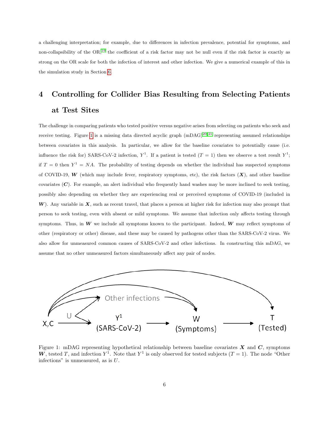a challenging interpretation; for example, due to differences in infection prevalence, potential for symptoms, and non-collapsibility of the OR,<sup>[19](#page-13-2)</sup> the coefficient of a risk factor may not be null even if the risk factor is exactly as strong on the OR scale for both the infection of interest and other infection. We give a numerical example of this in the simulation study in Section [6.](#page-8-0)

# <span id="page-5-1"></span>4 Controlling for Collider Bias Resulting from Selecting Patients at Test Sites

The challenge in comparing patients who tested positive versus negative arises from selecting on patients who seek and receive testing. Figure [1](#page-5-0) is a missing data directed acyclic graph  $(mDAG)^{20,21}$  $(mDAG)^{20,21}$  $(mDAG)^{20,21}$  representing assumed relationships between covariates in this analysis. In particular, we allow for the baseline covariates to potentially cause (i.e. influence the risk for) SARS-CoV-2 infection,  $Y^1$ . If a patient is tested  $(T = 1)$  then we observe a test result  $Y^1$ ; if  $T = 0$  then  $Y^1 = NA$ . The probability of testing depends on whether the individual has suspected symptoms of COVID-19, W (which may include fever, respiratory symptoms, etc), the risk factors  $(X)$ , and other baseline covariates  $(C)$ . For example, an alert individual who frequently hand washes may be more inclined to seek testing, possibly also depending on whether they are experiencing real or perceived symptoms of COVID-19 (included in  $W$ ). Any variable in  $X$ , such as recent travel, that places a person at higher risk for infection may also prompt that person to seek testing, even with absent or mild symptoms. We assume that infection only affects testing through symptoms. Thus, in  $W$  we include all symptoms known to the participant. Indeed,  $W$  may reflect symptoms of other (respiratory or other) disease, and these may be caused by pathogens other than the SARS-CoV-2 virus. We also allow for unmeasured common causes of SARS-CoV-2 and other infections. In constructing this mDAG, we assume that no other unmeasured factors simultaneously affect any pair of nodes.



<span id="page-5-0"></span>Figure 1: mDAG representing hypothetical relationship between baseline covariates  $X$  and  $C$ , symptoms W, tested T, and infection  $Y^1$ . Note that  $Y^1$  is only observed for tested subjects  $(T = 1)$ . The node "Other infections" is unmeasured, as is  $U$ .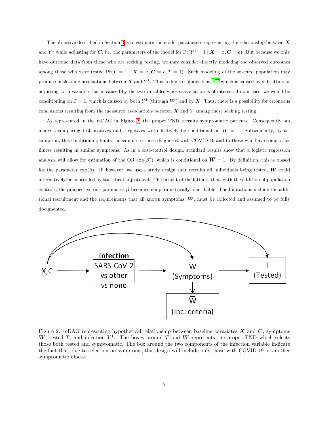The objective described in Section [3](#page-4-0) is to estimate the model parameters representing the relationship between  $\bm{X}$ and Y<sup>1</sup> while adjusting for C, i.e. the parameters of the model for  $Pr(Y^1 = 1 | X = x, C = c)$ . But because we only have outcome data from those who are seeking testing, we may consider directly modeling the observed outcomes among those who were tested  $Pr(Y = 1 | X = x, C = c, T = 1)$ . Such modeling of the selected population may produce misleading associations between X and  $Y^1$ . This is due to collider bias,  $5,22$  $5,22$  which is caused by subsetting or adjusting for a variable that is caused by the two variables whose association is of interest. In our case, we would be conditioning on  $T = 1$ , which is caused by both  $Y^1$  (through W) and by X. Thus, there is a possibility for erroneous conclusions resulting from the measured associations between  $\boldsymbol{X}$  and  $\boldsymbol{Y}$  among those seeking testing.

As represented in the mDAG in Figure [2,](#page-6-0) the proper TND recruits symptomatic patients. Consequently, an analysis comparing test-positives and -negatives will effectively be conditional on  $\overline{W} = 1$ . Subsequently, by assumption, this conditioning limits the sample to those diagnosed with COVID-19 and to those who have some other illness resulting in similar symptoms. As in a case-control design, standard results show that a logistic regression analysis will allow for estimation of the OR  $\exp(\beta^*)$ , which is conditional on  $\overline{W} = 1$ . By definition, this is biased for the parameter  $\exp(\beta)$ . If, however, we use a study design that recruits all individuals being tested, W could alternatively be controlled by statistical adjustment. The benefit of the latter is that, with the addition of population controls, the prospective risk parameter  $\beta$  becomes nonparametrically identifiable. The limitations include the additional recruitment and the requirements that all known symptoms,  $W$ , must be collected and assumed to be fully documented.



<span id="page-6-0"></span>Figure 2: mDAG representing hypothetical relationship between baseline covariates  $X$  and  $C$ , symptoms W, tested T, and infection  $Y^1$ . The boxes around T and  $\overline{W}$  represents the proper TND which selects those both tested and symptomatic. The box around the two components of the infection variable indicate the fact that, due to selection on symptoms, this design will include only those with COVID-19 or another symptomatic illness.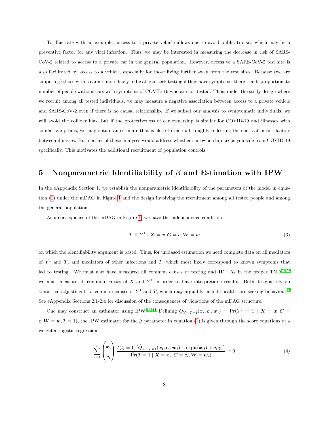To illustrate with an example: access to a private vehicle allows one to avoid public transit, which may be a preventive factor for any viral infection. Thus, we may be interested in measuring the decrease in risk of SARS-CoV-2 related to access to a private car in the general population. However, access to a SARS-CoV-2 test site is also facilitated by access to a vehicle, especially for those living further away from the test sites. Because (we are supposing) those with a car are more likely to be able to seek testing if they have symptoms, there is a disproportionate number of people without cars with symptoms of COVID-19 who are not tested. Thus, under the study design where we recruit among all tested individuals, we may measure a negative association between access to a private vehicle and SARS-CoV-2 even if there is no causal relationship. If we subset our analysis to symptomatic individuals, we will avoid the collider bias, but if the protectiveness of car ownership is similar for COVID-19 and illnesses with similar symptoms, we may obtain an estimate that is close to the null, roughly reflecting the contrast in risk factors between illnesses. But neither of these analyses would address whether car ownership keeps you safe from COVID-19 specifically. This motivates the additional recruitment of population controls.

## 5 Nonparametric Identifiability of  $\beta$  and Estimation with IPW

In the eAppendix Section 1, we establish the nonparametric identifiability of the parameters of the model in equation [\(1\)](#page-4-1) under the mDAG in Figure [1](#page-5-0) and the design involving the recruitment among all tested people and among the general population.

As a consequence of the mDAG in Figure [1,](#page-5-0) we have the independence condition

<span id="page-7-1"></span><span id="page-7-0"></span>
$$
T \perp Y^1 \mid X = x, C = c, W = w \tag{3}
$$

on which the identifiability argument is based. Thus, for unbiased estimation we need complete data on all mediators of  $Y<sup>1</sup>$  and  $T$ , and mediators of other infections and  $T$ , which most likely correspond to known symptoms that led to testing. We must also have measured all common causes of testing and  $W$ . As in the proper TND,<sup>[9,](#page-12-7)23</sup> we must measure all common causes of X and  $Y<sup>1</sup>$  in order to have interpretable results. Both designs rely on statistical adjustment for common causes of  $Y^1$  and T, which may arguably include health-care-seeking behaviour.<sup>[9](#page-12-7)</sup> See eAppendix Sections 2.1-2.4 for discussion of the consequences of violations of the mDAG structure.

One may construct an estimator using IPW.<sup>[16,](#page-12-13)24</sup> Defining  $Q_{Y^1,T=1}(\boldsymbol{x}_i,c_i,\boldsymbol{w}_i) = \Pr(Y^1 = 1 \mid \boldsymbol{X} = \boldsymbol{x},\boldsymbol{C} =$  $c, W = w, T = 1$ , the IPW estimator for the  $\beta$  parameter in equation [\(1\)](#page-4-1) is given through the score equations of a weighted logistic regression

$$
\sum_{i=1}^{n} \begin{pmatrix} x_i \\ c_i \end{pmatrix} \frac{I(t_i=1)\{\hat{Q}_{Y^1,T=1}(\boldsymbol{x}_i,\boldsymbol{c}_i,\boldsymbol{w}_i)-\text{expit}(\boldsymbol{x}_i\boldsymbol{\beta}+\boldsymbol{c}_i\boldsymbol{\gamma})\}}{\hat{\text{Pr}}(T=1 \mid \boldsymbol{X}=\boldsymbol{x}_i,\boldsymbol{C}=\boldsymbol{c}_i,\boldsymbol{W}=\boldsymbol{w}_i)} = 0
$$
\n(4)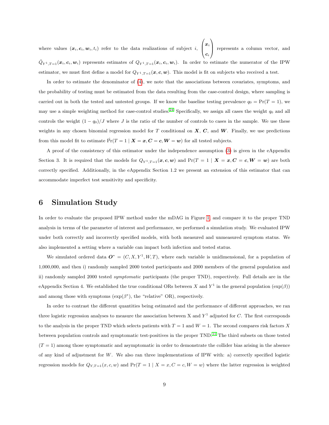where values  $(x_i, c_i, w_i, t_i)$  refer to the data realizations of subject i,  $\sqrt{ }$  $\left\vert \right\vert$  $\boldsymbol{x}_i$  $\boldsymbol{c}_i$  $\setminus$  represents a column vector, and  $\hat{Q}_{Y^1,T=1}(\boldsymbol{x}_i,\boldsymbol{c}_i,\boldsymbol{w}_i)$  represents estimates of  $Q_{Y^1,T=1}(\boldsymbol{x}_i,\boldsymbol{c}_i,\boldsymbol{w}_i)$ . In order to estimate the numerator of the IPW estimator, we must first define a model for  $Q_{Y^1,T=1}(\mathbf{x}, \mathbf{c}, \mathbf{w})$ . This model is fit on subjects who received a test.

In order to estimate the denominator of [\(4\)](#page-7-0), we note that the associations between covariates, symptoms, and the probability of testing must be estimated from the data resulting from the case-control design, where sampling is carried out in both the tested and untested groups. If we know the baseline testing prevalence  $q_0 = Pr(T = 1)$ , we may use a simple weighting method for case-control studies.<sup>[24](#page-13-7)</sup> Specifically, we assign all cases the weight  $q_0$  and all controls the weight  $(1 - q_0)/J$  where J is the ratio of the number of controls to cases in the sample. We use these weights in any chosen binomial regression model for T conditional on  $X, C$ , and  $W$ . Finally, we use predictions from this model fit to estimate  $\Pr(T = 1 \mid \mathbf{X} = \mathbf{x}, \mathbf{C} = \mathbf{c}, \mathbf{W} = \mathbf{w})$  for all tested subjects.

A proof of the consistency of this estimator under the independence assumption [\(3\)](#page-7-1) is given in the eAppendix Section 3. It is required that the models for  $Q_{Y^1,T=1}(x, c, w)$  and  $Pr(T = 1 | X = x, C = c, W = w)$  are both correctly specified. Additionally, in the eAppendix Section 1.2 we present an extension of this estimator that can accommodate imperfect test sensitivity and specificity.

#### <span id="page-8-0"></span>6 Simulation Study

In order to evaluate the proposed IPW method under the mDAG in Figure [1,](#page-5-0) and compare it to the proper TND analysis in terms of the parameter of interest and performance, we performed a simulation study. We evaluated IPW under both correctly and incorrectly specified models, with both measured and unmeasured symptom status. We also implemented a setting where a variable can impact both infection and tested status.

We simulated ordered data  $O^* = (C, X, Y^1, W, T)$ , where each variable is unidimensional, for a population of 1,000,000, and then i) randomly sampled 2000 tested participants and 2000 members of the general population and ii) randomly sampled 2000 tested symptomatic participants (the proper TND), respectively. Full details are in the eAppendix Section 4. We established the true conditional ORs between X and Y<sup>1</sup> in the general population  $(\exp(\beta))$ and among those with symptoms  $(\exp(\beta^*))$ , the "relative" OR), respectively.

In order to contrast the different quantities being estimated and the performance of different approaches, we ran three logistic regression analyses to measure the association between X and  $Y^1$  adjusted for C. The first corresponds to the analysis in the proper TND which selects patients with  $T = 1$  and  $W = 1$ . The second compares risk factors X between population controls and symptomatic test-positives in the proper TND.[11](#page-12-9) The third subsets on those tested  $(T = 1)$  among those symptomatic and asymptomatic in order to demonstrate the collider bias arising in the absence of any kind of adjustment for  $W$ . We also ran three implementations of IPW with: a) correctly specified logistic regression models for  $Q_{Y,T=1}(x, c, w)$  and  $Pr(T = 1 | X = x, C = c, W = w)$  where the latter regression is weighted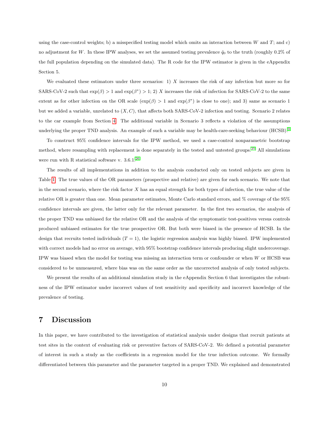using the case-control weights; b) a misspecified testing model which omits an interaction between  $W$  and  $T$ ; and c) no adjustment for W. In these IPW analyses, we set the assumed testing prevalence  $\hat{q}_0$  to the truth (roughly 0.2% of the full population depending on the simulated data). The R code for the IPW estimator is given in the eAppendix Section 5.

We evaluated these estimators under three scenarios: 1)  $X$  increases the risk of any infection but more so for SARS-CoV-2 such that  $\exp(\beta) > 1$  and  $\exp(\beta^*) > 1$ ; 2) X increases the risk of infection for SARS-CoV-2 to the same extent as for other infection on the OR scale  $(\exp(\beta) > 1$  and  $\exp(\beta^*)$  is close to one); and 3) same as scenario 1 but we added a variable, unrelated to  $(X, C)$ , that affects both SARS-CoV-2 infection and testing. Scenario 2 relates to the car example from Section [4.](#page-5-1) The additional variable in Scenario 3 reflects a violation of the assumptions underlying the proper TND analysis. An example of such a variable may be health-care-seeking behaviour (HCSB).[9](#page-12-7)

To construct 95% confidence intervals for the IPW method, we used a case-control nonparametric bootstrap method, where resampling with replacement is done separately in the tested and untested groups.<sup>[25](#page-13-8)</sup> All simulations were run with R statistical software v.  $3.6.1.^{26}$  $3.6.1.^{26}$  $3.6.1.^{26}$ 

The results of all implementations in addition to the analysis conducted only on tested subjects are given in Table [1.](#page-10-0) The true values of the OR parameters (prospective and relative) are given for each scenario. We note that in the second scenario, where the risk factor  $X$  has an equal strength for both types of infection, the true value of the relative OR is greater than one. Mean parameter estimates, Monte Carlo standard errors, and % coverage of the 95% confidence intervals are given, the latter only for the relevant parameter. In the first two scenarios, the analysis of the proper TND was unbiased for the relative OR and the analysis of the symptomatic test-positives versus controls produced unbiased estimates for the true prospective OR. But both were biased in the presence of HCSB. In the design that recruits tested individuals  $(T = 1)$ , the logistic regression analysis was highly biased. IPW implemented with correct models had no error on average, with 95% bootstrap confidence intervals producing slight undercoverage. IPW was biased when the model for testing was missing an interaction term or confounder or when W or HCSB was considered to be unmeasured, where bias was on the same order as the uncorrected analysis of only tested subjects.

We present the results of an additional simulation study in the eAppendix Section 6 that investigates the robustness of the IPW estimator under incorrect values of test sensitivity and specificity and incorrect knowledge of the prevalence of testing.

#### 7 Discussion

In this paper, we have contributed to the investigation of statistical analysis under designs that recruit patients at test sites in the context of evaluating risk or preventive factors of SARS-CoV-2. We defined a potential parameter of interest in such a study as the coefficients in a regression model for the true infection outcome. We formally differentiated between this parameter and the parameter targeted in a proper TND. We explained and demonstrated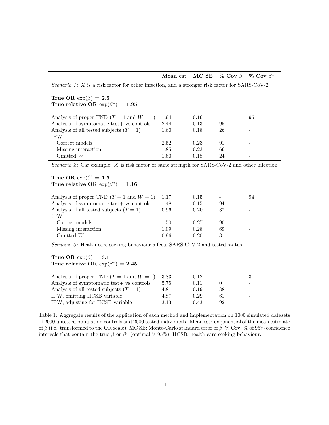|  |  |  | Mean est MC SE % Cov $\beta$ % Cov $\beta^*$ |
|--|--|--|----------------------------------------------|
|--|--|--|----------------------------------------------|

Scenario 1:  $X$  is a risk factor for other infection, and a stronger risk factor for SARS-CoV-2 True OR  $\exp(\beta) = 2.5$ 

True relative OR  $\exp(\beta^*) = 1.95$ 

| Analysis of proper TND $(T = 1$ and $W = 1)$ | 1.94     | 0.16 |     | 96                       |
|----------------------------------------------|----------|------|-----|--------------------------|
| Analysis of symptomatic test+ vs controls    | 2.44     | 0.13 | 95  | $\overline{\phantom{a}}$ |
| Analysis of all tested subjects $(T = 1)$    | 1.60     | 0.18 | 26  | $\qquad \qquad$          |
| <b>IPW</b>                                   |          |      |     |                          |
| Correct models                               | 2.52     | 0.23 | 91  | $\overline{\phantom{a}}$ |
| Missing interaction                          | 1.85     | 0.23 | 66  | -                        |
| Omitted $W$                                  | $1.60\,$ | 0.18 | 9.4 |                          |
|                                              |          |      |     |                          |

Scenario 2: Car example:  $X$  is risk factor of same strength for SARS-CoV-2 and other infection

#### True OR  $\exp(\beta) = 1.5$ True relative OR  $\exp(\beta^*) = 1.16$

| Analysis of proper TND $(T = 1$ and $W = 1)$<br>Analysis of symptomatic test+ vs controls<br>Analysis of all tested subjects $(T = 1)$<br><b>IPW</b> | 1.17<br>1.48<br>0.96 | 0.15<br>0.15<br>0.20 | 94<br>37 | 94 |
|------------------------------------------------------------------------------------------------------------------------------------------------------|----------------------|----------------------|----------|----|
| Correct models                                                                                                                                       | 1.50                 | 0.27                 | 90       |    |
| Missing interaction                                                                                                                                  | 1.09                 | 0.28                 | 69       |    |
| Omitted $W$                                                                                                                                          | 0.96                 | 0.20                 | 31       |    |

Scenario 3: Health-care-seeking behaviour affects  $SARS-CoV-2$  and tested status

#### True OR  $\exp(\beta) = 3.11$ True relative OR  $\exp(\beta^*) = 2.45$

| Analysis of proper TND $(T = 1$ and $W = 1)$ | 3.83 | 0.12 | $\overline{\phantom{a}}$ |                          |
|----------------------------------------------|------|------|--------------------------|--------------------------|
| Analysis of symptomatic test+ vs controls    | 5.75 | 0.11 |                          | -                        |
| Analysis of all tested subjects $(T = 1)$    | 4.81 | 0.19 | 38                       | $\overline{\phantom{0}}$ |
| IPW, omitting HCSB variable                  | 4.87 | 0.29 |                          | -                        |
| IPW, adjusting for HCSB variable             | 3.13 | 0.43 | 92                       |                          |

<span id="page-10-0"></span>Table 1: Aggregate results of the application of each method and implementation on 1000 simulated datasets of 2000 untested population controls and 2000 tested individuals. Mean est: exponential of the mean estimate of β (i.e. transformed to the OR scale); MC SE: Monte-Carlo standard error of  $\hat{\beta}$ ; % Cov: % of 95% confidence intervals that contain the true  $\beta$  or  $\beta^*$  (optimal is 95%); HCSB: health-care-seeking behaviour.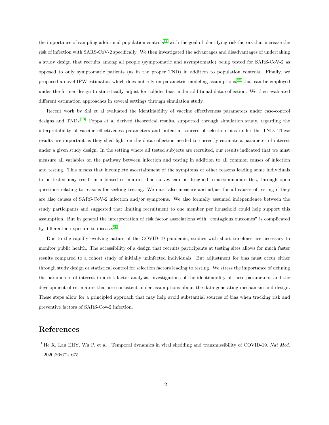the importance of sampling additional population controls<sup>[11](#page-12-9)</sup> with the goal of identifying risk factors that increase the risk of infection with SARS-CoV-2 specifically. We then investigated the advantages and disadvantages of undertaking a study design that recruits among all people (symptomatic and asymptomatic) being tested for SARS-CoV-2 as opposed to only symptomatic patients (as in the proper TND) in addition to population controls. Finally, we proposed a novel IPW estimator, which does not rely on parametric modeling assumptions,[27](#page-13-10) that can be employed under the former design to statistically adjust for collider bias under additional data collection. We then evaluated different estimation approaches in several settings through simulation study.

Recent work by Shi et al evaluated the identifiability of vaccine effectiveness parameters under case-control designs and TNDs.[13](#page-12-11) Foppa et al derived theoretical results, supported through simulation study, regarding the interpretability of vaccine effectiveness parameters and potential sources of selection bias under the TND. These results are important as they shed light on the data collection needed to correctly estimate a parameter of interest under a given study design. In the setting where all tested subjects are recruited, our results indicated that we must measure all variables on the pathway between infection and testing in addition to all common causes of infection and testing. This means that incomplete ascertainment of the symptoms or other reasons leading some individuals to be tested may result in a biased estimator. The survey can be designed to accommodate this, through open questions relating to reasons for seeking testing. We must also measure and adjust for all causes of testing if they are also causes of SARS-CoV-2 infection and/or symptoms. We also formally assumed independence between the study participants and suggested that limiting recruitment to one member per household could help support this assumption. But in general the interpretation of risk factor associations with "contagious outcomes" is complicated by differential exposure to disease.<sup>[28](#page-13-11)</sup>

Due to the rapidly evolving nature of the COVID-19 pandemic, studies with short timelines are necessary to monitor public health. The accessibility of a design that recruits participants at testing sites allows for much faster results compared to a cohort study of initially uninfected individuals. But adjustment for bias must occur either through study design or statistical control for selection factors leading to testing. We stress the importance of defining the parameters of interest in a risk factor analysis, investigations of the identifiability of these parameters, and the development of estimators that are consistent under assumptions about the data-generating mechanism and design. These steps allow for a principled approach that may help avoid substantial sources of bias when tracking risk and preventive factors of SARS-Cov-2 infection.

#### References

<span id="page-11-0"></span><sup>1</sup> He X, Lau EHY, Wu P, et al . Temporal dynamics in viral shedding and transmissibility of COVID-19. Nat Med. 2020;26:672–675.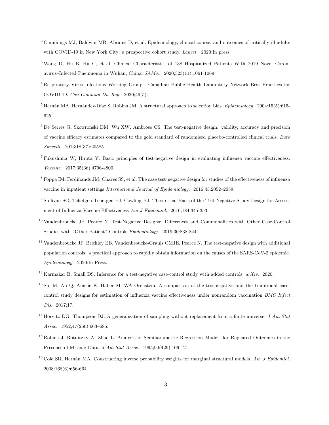- <span id="page-12-0"></span><sup>2</sup> Cummings MJ, Baldwin MR, Abrams D, et al. Epidemiology, clinical course, and outcomes of critically ill adults with COVID-19 in New York City: a prospective cohort study. Lancet. 2020:In press.
- <span id="page-12-1"></span><sup>3</sup> Wang D, Hu B, Hu C, et al. Clinical Characteristics of 138 Hospitalized Patients With 2019 Novel Coronavirus–Infected Pneumonia in Wuhan, China. JAMA. 2020;323(11):1061-1069.
- <span id="page-12-2"></span><sup>4</sup> Respiratory Virus Infections Working Group . Canadian Public Health Laboratory Network Best Practices for COVID-19. Can Commun Dis Rep. 2020;46(5).
- <span id="page-12-3"></span> $5$  Hernán MA, Hernández-Díaz S, Robins JM. A structural approach to selection bias. Epidemiology. 2004;15(5):615-625.
- <span id="page-12-4"></span><sup>6</sup> De Serres G, Skowronski DM, Wu XW, Ambrose CS. The test-negative design: validity, accuracy and precision of vaccine efficacy estimates compared to the gold standard of randomised placebo-controlled clinical trials. Euro Surveill. 2013;18(37):20585.
- <span id="page-12-5"></span><sup>7</sup> Fukushima W, Hirota Y. Basic principles of test-negative design in evaluating influenza vaccine effectiveness. Vaccine. 2017;35(36):4796-4800.
- <span id="page-12-6"></span><sup>8</sup> Foppa IM, Ferdinands JM, Chaves SS, et al. The case test-negative design for studies of the effectiveness of influenza vaccine in inpatient settings International Journal of Epidemiology. 2016;45:2052–2059.
- <span id="page-12-7"></span><sup>9</sup> Sullivan SG, Tchetgen Tchetgen EJ, Cowling BJ. Theoretical Basis of the Test-Negative Study Design for Assessment of Influenza Vaccine Effectiveness Am J Epidemiol. 2016;184:345-353.
- <span id="page-12-8"></span><sup>10</sup> Vandenbroucke JP, Pearce N. Test-Negative Designs: Differences and Commonalities with Other Case-Control Studies with "Other Patient" Controls Epidemiology. 2019;30:838-844.
- <span id="page-12-9"></span><sup>11</sup> Vandenbroucke JP, Brickley EB, Vandenbroucke-Grauls CMJE, Pearce N. The test-negative design with additional population controls: a practical approach to rapidly obtain information on the causes of the SARS-CoV-2 epidemic. Epidemiology. 2020:In Press.
- <span id="page-12-10"></span><sup>12</sup> Karmakar B, Small DS. Inference for a test-negative case-control study with added controls.  $arXiv.$  2020.
- <span id="page-12-11"></span><sup>13</sup> Shi M, An Q, Ainslie K, Haber M, WA Orenstein. A comparison of the test-negative and the traditional casecontrol study designs for estimation of influenza vaccine effectiveness under nonrandom vaccination BMC Infect Dis. 2017;17.
- <span id="page-12-12"></span><sup>14</sup> Horvitz DG, Thompson DJ. A generalization of sampling without replacement from a finite universe. *J Am Stat* Assoc. 1952;47(260):663–685.
- <sup>15</sup> Robins J, Rotnitzky A, Zhao L. Analysis of Semiparametric Regression Models for Repeated Outcomes in the Presence of Missing Data.  $J Am Stat Assoc.$  1995;90(429):106-121.
- <span id="page-12-13"></span><sup>16</sup> Cole SR, Hernán MA. Constructing inverse probability weights for marginal structural models. Am J Epidemiol. 2008;168(6):656-664.